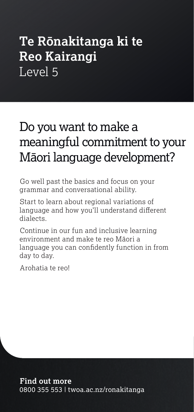# **Te Rōnakitanga ki te Reo Kairangi** Level 5

# Do you want to make a meaningful commitment to your Māori language development?

Go well past the basics and focus on your grammar and conversational ability.

Start to learn about regional variations of language and how you'll understand different dialects.

Continue in our fun and inclusive learning environment and make te reo Māori a language you can confidently function in from day to day.

Arohatia te reo!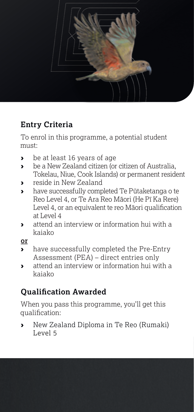

# **Entry Criteria**

To enrol in this programme, a potential student must:

- › be at least 16 years of age
- › be a New Zealand citizen (or citizen of Australia, Tokelau, Niue, Cook Islands) or permanent resident
- › reside in New Zealand
- › have successfully completed Te Pūtaketanga o te Reo Level 4, or Te Ara Reo Māori (He Pī Ka Rere) Level 4, or an equivalent te reo Māori qualification at Level 4
- › attend an interview or information hui with a kaiako

**or**

- › have successfully completed the Pre-Entry Assessment (PEA) – direct entries only
- › attend an interview or information hui with a kaiako

# **Qualification Awarded**

When you pass this programme, you'll get this qualification:

› New Zealand Diploma in Te Reo (Rumaki) Level 5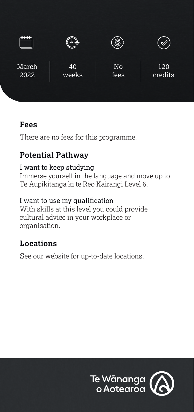

# **Fees**

There are no fees for this programme.

# **Potential Pathway**

### I want to keep studying

Immerse yourself in the language and move up to Te Aupikitanga ki te Reo Kairangi Level 6.

#### I want to use my qualification

With skills at this level you could provide cultural advice in your workplace or organisation.

# **Locations**

See our website for up-to-date locations.

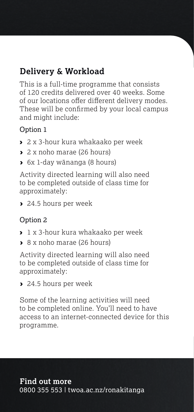# **Delivery & Workload**

This is a full-time programme that consists of 120 credits delivered over 40 weeks. Some of our locations offer different delivery modes. These will be confirmed by your local campus and might include:

#### Option 1

- › 2 x 3-hour kura whakaako per week
- › 2 x noho marae (26 hours)
- › 6x 1-day wānanga (8 hours)

Activity directed learning will also need to be completed outside of class time for approximately:

▶ 24.5 hours per week

### Option 2

- › 1 x 3-hour kura whakaako per week
- › 8 x noho marae (26 hours)

Activity directed learning will also need to be completed outside of class time for approximately:

› 24.5 hours per week

Some of the learning activities will need to be completed online. You'll need to have access to an internet-connected device for this programme.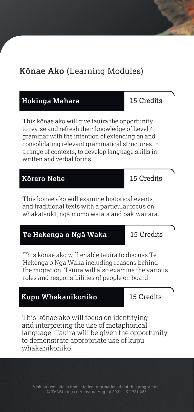# **Kōnae Ako** (Learning Modules)

#### **Hokinga Mahara** 15 Credits

This kōnae ako will give tauira the opportunity to revise and refresh their knowledge of Level 4 grammar with the intention of extending on and consolidating relevant grammatical structures in a range of contexts, to develop language skills in written and verbal forms.

#### **Kōrero Nehe** 15 Credits

This kōnae ako will examine historical events and traditional texts with a particular focus on whakataukī, ngā momo waiata and pakiwaitara.

### **Te Hekenga o Ngā Waka** 15 Credits

This kōnae ako will enable tauira to discuss Te Hekenga o Ngā Waka including reasons behind the migration. Tauira will also examine the various roles and responsibilities of people on board.

#### **Kupu Whakanikoniko** 15 Credits

This kōnae ako will focus on identifying and interpreting the use of metaphorical language. Tauira will be given the opportunity to demonstrate appropriate use of kupu whakanikoniko.